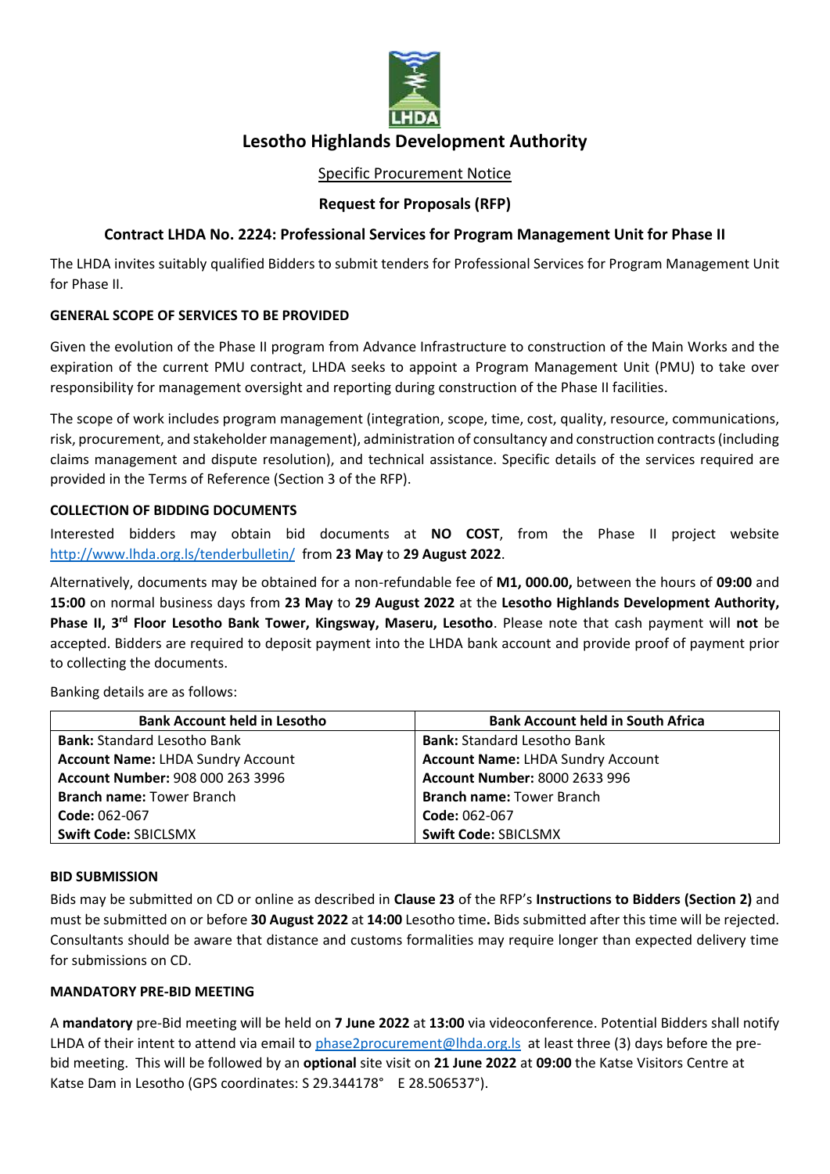

# **Lesotho Highlands Development Authority**

## Specific Procurement Notice

## **Request for Proposals (RFP)**

## **Contract LHDA No. 2224: Professional Services for Program Management Unit for Phase II**

The LHDA invites suitably qualified Bidders to submit tenders for Professional Services for Program Management Unit for Phase II.

## **GENERAL SCOPE OF SERVICES TO BE PROVIDED**

Given the evolution of the Phase II program from Advance Infrastructure to construction of the Main Works and the expiration of the current PMU contract, LHDA seeks to appoint a Program Management Unit (PMU) to take over responsibility for management oversight and reporting during construction of the Phase II facilities.

The scope of work includes program management (integration, scope, time, cost, quality, resource, communications, risk, procurement, and stakeholder management), administration of consultancy and construction contracts (including claims management and dispute resolution), and technical assistance. Specific details of the services required are provided in the Terms of Reference (Section 3 of the RFP).

#### **COLLECTION OF BIDDING DOCUMENTS**

Interested bidders may obtain bid documents at **NO COST**, from the Phase II project website <http://www.lhda.org.ls/tenderbulletin/> from **23 May** to **29 August 2022**.

Alternatively, documents may be obtained for a non-refundable fee of **M1, 000.00,** between the hours of **09:00** and **15:00** on normal business days from **23 May** to **29 August 2022** at the **Lesotho Highlands Development Authority,**  Phase II, 3<sup>rd</sup> Floor Lesotho Bank Tower, Kingsway, Maseru, Lesotho. Please note that cash payment will not be accepted. Bidders are required to deposit payment into the LHDA bank account and provide proof of payment prior to collecting the documents.

Banking details are as follows:

| <b>Bank Account held in Lesotho</b>      | <b>Bank Account held in South Africa</b> |
|------------------------------------------|------------------------------------------|
| <b>Bank: Standard Lesotho Bank</b>       | <b>Bank: Standard Lesotho Bank</b>       |
| <b>Account Name: LHDA Sundry Account</b> | <b>Account Name: LHDA Sundry Account</b> |
| Account Number: 908 000 263 3996         | <b>Account Number: 8000 2633 996</b>     |
| <b>Branch name: Tower Branch</b>         | <b>Branch name: Tower Branch</b>         |
| Code: 062-067                            | Code: 062-067                            |
| Swift Code: SBICLSMX                     | <b>Swift Code: SBICLSMX</b>              |

#### **BID SUBMISSION**

Bids may be submitted on CD or online as described in **Clause 23** of the RFP's **Instructions to Bidders (Section 2)** and must be submitted on or before **30 August 2022** at **14:00** Lesotho time**.** Bids submitted after this time will be rejected. Consultants should be aware that distance and customs formalities may require longer than expected delivery time for submissions on CD.

#### **MANDATORY PRE-BID MEETING**

A **mandatory** pre-Bid meeting will be held on **7 June 2022** at **13:00** via videoconference. Potential Bidders shall notify LHDA of their intent to attend via email to [phase2procurement@lhda.org.ls](mailto:phase2procurement@lhda.org.ls) at least three (3) days before the prebid meeting. This will be followed by an **optional** site visit on **21 June 2022** at **09:00** the Katse Visitors Centre at Katse Dam in Lesotho (GPS coordinates: S 29.344178° E 28.506537°).